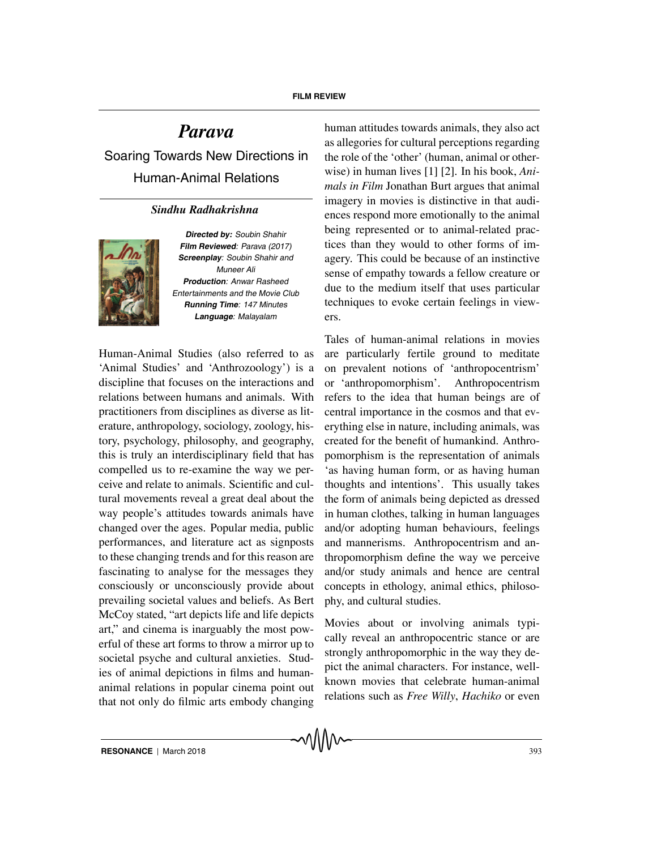## *Parava* Soaring Towards New Directions in Human-Animal Relations

## *Sindhu Radhakrishna*



**Directed by:** Soubin Shahir **Film Reviewed**: Parava (2017) **Screenplay**: Soubin Shahir and Muneer Ali **Production**: Anwar Rasheed Entertainments and the Movie Club **Running Time**: 147 Minutes **Language**: Malayalam

Human-Animal Studies (also referred to as 'Animal Studies' and 'Anthrozoology') is a discipline that focuses on the interactions and relations between humans and animals. With practitioners from disciplines as diverse as literature, anthropology, sociology, zoology, history, psychology, philosophy, and geography, this is truly an interdisciplinary field that has compelled us to re-examine the way we perceive and relate to animals. Scientific and cultural movements reveal a great deal about the way people's attitudes towards animals have changed over the ages. Popular media, public performances, and literature act as signposts to these changing trends and for this reason are fascinating to analyse for the messages they consciously or unconsciously provide about prevailing societal values and beliefs. As Bert McCoy stated, "art depicts life and life depicts art," and cinema is inarguably the most powerful of these art forms to throw a mirror up to societal psyche and cultural anxieties. Studies of animal depictions in films and humananimal relations in popular cinema point out that not only do filmic arts embody changing human attitudes towards animals, they also act as allegories for cultural perceptions regarding the role of the 'other' (human, animal or otherwise) in human lives [1] [2]. In his book, *Animals in Film* Jonathan Burt argues that animal imagery in movies is distinctive in that audiences respond more emotionally to the animal being represented or to animal-related practices than they would to other forms of imagery. This could be because of an instinctive sense of empathy towards a fellow creature or due to the medium itself that uses particular techniques to evoke certain feelings in viewers.

Tales of human-animal relations in movies are particularly fertile ground to meditate on prevalent notions of 'anthropocentrism' or 'anthropomorphism'. Anthropocentrism refers to the idea that human beings are of central importance in the cosmos and that everything else in nature, including animals, was created for the benefit of humankind. Anthropomorphism is the representation of animals 'as having human form, or as having human thoughts and intentions'. This usually takes the form of animals being depicted as dressed in human clothes, talking in human languages and/or adopting human behaviours, feelings and mannerisms. Anthropocentrism and anthropomorphism define the way we perceive and/or study animals and hence are central concepts in ethology, animal ethics, philosophy, and cultural studies.

Movies about or involving animals typically reveal an anthropocentric stance or are strongly anthropomorphic in the way they depict the animal characters. For instance, wellknown movies that celebrate human-animal relations such as *Free Willy*, *Hachiko* or even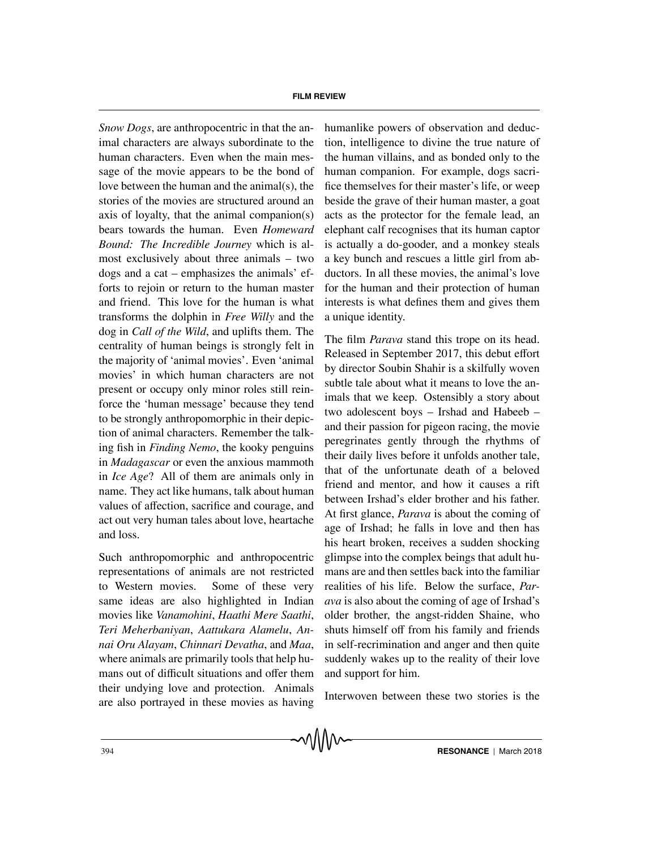*Snow Dogs*, are anthropocentric in that the animal characters are always subordinate to the human characters. Even when the main message of the movie appears to be the bond of love between the human and the animal(s), the stories of the movies are structured around an axis of loyalty, that the animal companion(s) bears towards the human. Even *Homeward Bound: The Incredible Journey* which is almost exclusively about three animals – two dogs and a cat – emphasizes the animals' efforts to rejoin or return to the human master and friend. This love for the human is what transforms the dolphin in *Free Willy* and the dog in *Call of the Wild*, and uplifts them. The centrality of human beings is strongly felt in the majority of 'animal movies'. Even 'animal movies' in which human characters are not present or occupy only minor roles still reinforce the 'human message' because they tend to be strongly anthropomorphic in their depiction of animal characters. Remember the talking fish in *Finding Nemo*, the kooky penguins in *Madagascar* or even the anxious mammoth in *Ice Age*? All of them are animals only in name. They act like humans, talk about human values of affection, sacrifice and courage, and act out very human tales about love, heartache and loss.

Such anthropomorphic and anthropocentric representations of animals are not restricted to Western movies. Some of these very same ideas are also highlighted in Indian movies like *Vanamohini*, *Haathi Mere Saathi*, *Teri Meherbaniyan*, *Aattukara Alamelu*, *Annai Oru Alayam*, *Chinnari Devatha*, and *Maa*, where animals are primarily tools that help humans out of difficult situations and offer them their undying love and protection. Animals are also portrayed in these movies as having humanlike powers of observation and deduction, intelligence to divine the true nature of the human villains, and as bonded only to the human companion. For example, dogs sacrifice themselves for their master's life, or weep beside the grave of their human master, a goat acts as the protector for the female lead, an elephant calf recognises that its human captor is actually a do-gooder, and a monkey steals a key bunch and rescues a little girl from abductors. In all these movies, the animal's love for the human and their protection of human interests is what defines them and gives them a unique identity.

The film *Parava* stand this trope on its head. Released in September 2017, this debut effort by director Soubin Shahir is a skilfully woven subtle tale about what it means to love the animals that we keep. Ostensibly a story about two adolescent boys – Irshad and Habeeb – and their passion for pigeon racing, the movie peregrinates gently through the rhythms of their daily lives before it unfolds another tale, that of the unfortunate death of a beloved friend and mentor, and how it causes a rift between Irshad's elder brother and his father. At first glance, *Parava* is about the coming of age of Irshad; he falls in love and then has his heart broken, receives a sudden shocking glimpse into the complex beings that adult humans are and then settles back into the familiar realities of his life. Below the surface, *Parava* is also about the coming of age of Irshad's older brother, the angst-ridden Shaine, who shuts himself off from his family and friends in self-recrimination and anger and then quite suddenly wakes up to the reality of their love and support for him.

Interwoven between these two stories is the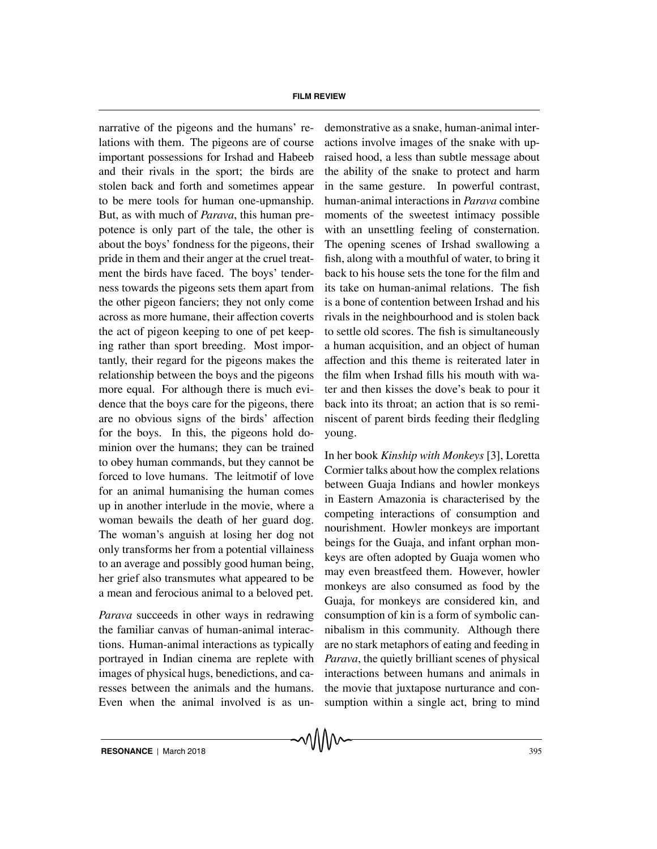narrative of the pigeons and the humans' relations with them. The pigeons are of course important possessions for Irshad and Habeeb and their rivals in the sport; the birds are stolen back and forth and sometimes appear to be mere tools for human one-upmanship. But, as with much of *Parava*, this human prepotence is only part of the tale, the other is about the boys' fondness for the pigeons, their pride in them and their anger at the cruel treatment the birds have faced. The boys' tenderness towards the pigeons sets them apart from the other pigeon fanciers; they not only come across as more humane, their affection coverts the act of pigeon keeping to one of pet keeping rather than sport breeding. Most importantly, their regard for the pigeons makes the relationship between the boys and the pigeons more equal. For although there is much evidence that the boys care for the pigeons, there are no obvious signs of the birds' affection for the boys. In this, the pigeons hold dominion over the humans; they can be trained to obey human commands, but they cannot be forced to love humans. The leitmotif of love for an animal humanising the human comes up in another interlude in the movie, where a woman bewails the death of her guard dog. The woman's anguish at losing her dog not only transforms her from a potential villainess to an average and possibly good human being, her grief also transmutes what appeared to be a mean and ferocious animal to a beloved pet.

*Parava* succeeds in other ways in redrawing the familiar canvas of human-animal interactions. Human-animal interactions as typically portrayed in Indian cinema are replete with images of physical hugs, benedictions, and caresses between the animals and the humans. Even when the animal involved is as undemonstrative as a snake, human-animal interactions involve images of the snake with upraised hood, a less than subtle message about the ability of the snake to protect and harm in the same gesture. In powerful contrast, human-animal interactions in *Parava* combine moments of the sweetest intimacy possible with an unsettling feeling of consternation. The opening scenes of Irshad swallowing a fish, along with a mouthful of water, to bring it back to his house sets the tone for the film and its take on human-animal relations. The fish is a bone of contention between Irshad and his rivals in the neighbourhood and is stolen back to settle old scores. The fish is simultaneously a human acquisition, and an object of human affection and this theme is reiterated later in the film when Irshad fills his mouth with water and then kisses the dove's beak to pour it back into its throat; an action that is so reminiscent of parent birds feeding their fledgling young.

In her book *Kinship with Monkeys* [3], Loretta Cormier talks about how the complex relations between Guaja Indians and howler monkeys in Eastern Amazonia is characterised by the competing interactions of consumption and nourishment. Howler monkeys are important beings for the Guaja, and infant orphan monkeys are often adopted by Guaja women who may even breastfeed them. However, howler monkeys are also consumed as food by the Guaja, for monkeys are considered kin, and consumption of kin is a form of symbolic cannibalism in this community. Although there are no stark metaphors of eating and feeding in *Parava*, the quietly brilliant scenes of physical interactions between humans and animals in the movie that juxtapose nurturance and consumption within a single act, bring to mind